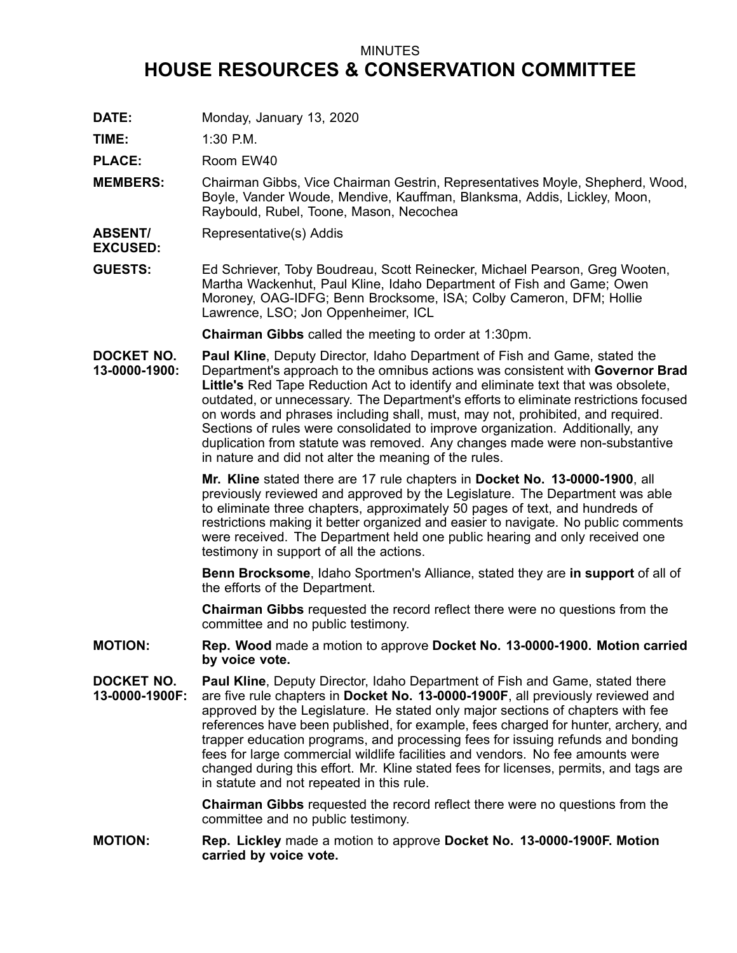## MINUTES **HOUSE RESOURCES & CONSERVATION COMMITTEE**

**DATE:** Monday, January 13, 2020

**TIME:** 1:30 P.M.

PLACE: Room EW40

- **MEMBERS:** Chairman Gibbs, Vice Chairman Gestrin, Representatives Moyle, Shepherd, Wood, Boyle, Vander Woude, Mendive, Kauffman, Blanksma, Addis, Lickley, Moon, Raybould, Rubel, Toone, Mason, Necochea
- **ABSENT/** Representative(s) Addis
- **EXCUSED:**
- **GUESTS:** Ed Schriever, Toby Boudreau, Scott Reinecker, Michael Pearson, Greg Wooten, Martha Wackenhut, Paul Kline, Idaho Department of Fish and Game; Owen Moroney, OAG-IDFG; Benn Brocksome, ISA; Colby Cameron, DFM; Hollie Lawrence, LSO; Jon Oppenheimer, ICL

**Chairman Gibbs** called the meeting to order at 1:30pm.

**DOCKET NO. 13-0000-1900: Paul Kline**, Deputy Director, Idaho Department of Fish and Game, stated the Department's approach to the omnibus actions was consistent with **Governor Brad Little's** Red Tape Reduction Act to identify and eliminate text that was obsolete, outdated, or unnecessary. The Department's efforts to eliminate restrictions focused on words and phrases including shall, must, may not, prohibited, and required. Sections of rules were consolidated to improve organization. Additionally, any duplication from statute was removed. Any changes made were non-substantive in nature and did not alter the meaning of the rules.

> **Mr. Kline** stated there are 17 rule chapters in **Docket No. 13-0000-1900**, all previously reviewed and approved by the Legislature. The Department was able to eliminate three chapters, approximately 50 pages of text, and hundreds of restrictions making it better organized and easier to navigate. No public comments were received. The Department held one public hearing and only received one testimony in support of all the actions.

> **Benn Brocksome**, Idaho Sportmen's Alliance, stated they are **in support** of all of the efforts of the Department.

**Chairman Gibbs** requested the record reflect there were no questions from the committee and no public testimony.

- **MOTION: Rep. Wood** made <sup>a</sup> motion to approve **Docket No. 13-0000-1900. Motion carried by voice vote.**
- **DOCKET NO. 13-0000-1900F: Paul Kline**, Deputy Director, Idaho Department of Fish and Game, stated there are five rule chapters in **Docket No. 13-0000-1900F**, all previously reviewed and approved by the Legislature. He stated only major sections of chapters with fee references have been published, for example, fees charged for hunter, archery, and trapper education programs, and processing fees for issuing refunds and bonding fees for large commercial wildlife facilities and vendors. No fee amounts were changed during this effort. Mr. Kline stated fees for licenses, permits, and tags are in statute and not repeated in this rule.

**Chairman Gibbs** requested the record reflect there were no questions from the committee and no public testimony.

**MOTION: Rep. Lickley** made <sup>a</sup> motion to approve **Docket No. 13-0000-1900F. Motion carried by voice vote.**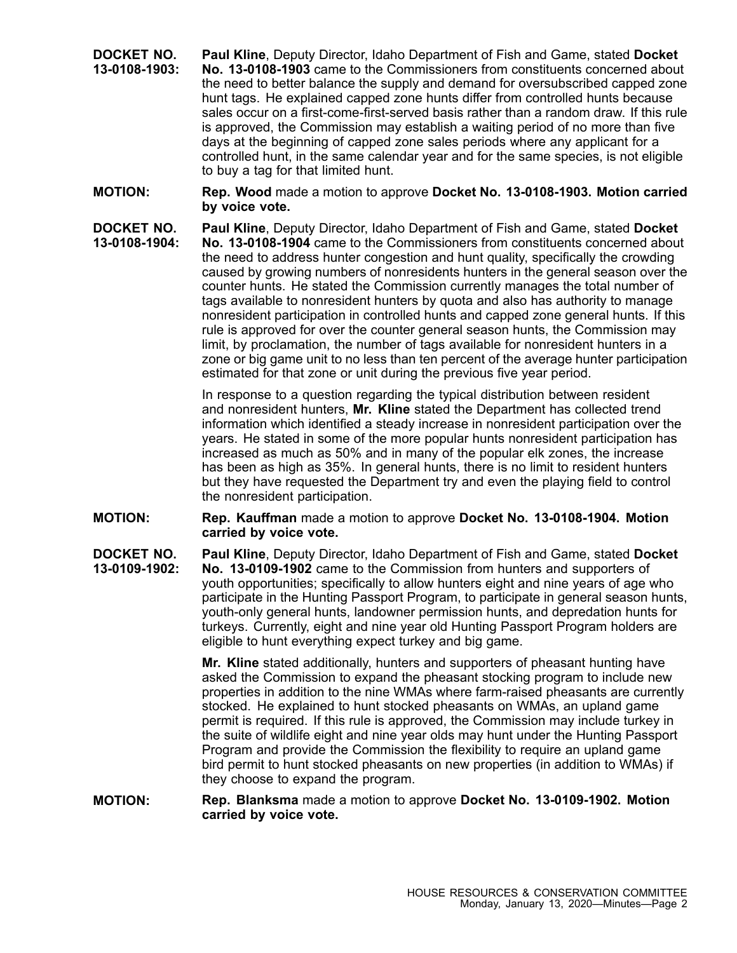- **DOCKET NO. 13-0108-1903: Paul Kline**, Deputy Director, Idaho Department of Fish and Game, stated **Docket No. 13-0108-1903** came to the Commissioners from constituents concerned about the need to better balance the supply and demand for oversubscribed capped zone hunt tags. He explained capped zone hunts differ from controlled hunts because sales occur on a first-come-first-served basis rather than a random draw. If this rule is approved, the Commission may establish <sup>a</sup> waiting period of no more than five days at the beginning of capped zone sales periods where any applicant for <sup>a</sup> controlled hunt, in the same calendar year and for the same species, is not eligible to buy <sup>a</sup> tag for that limited hunt.
- **MOTION: Rep. Wood** made <sup>a</sup> motion to approve **Docket No. 13-0108-1903. Motion carried by voice vote.**
- **DOCKET NO. 13-0108-1904: Paul Kline**, Deputy Director, Idaho Department of Fish and Game, stated **Docket No. 13-0108-1904** came to the Commissioners from constituents concerned about the need to address hunter congestion and hunt quality, specifically the crowding caused by growing numbers of nonresidents hunters in the general season over the counter hunts. He stated the Commission currently manages the total number of tags available to nonresident hunters by quota and also has authority to manage nonresident participation in controlled hunts and capped zone general hunts. If this rule is approved for over the counter general season hunts, the Commission may limit, by proclamation, the number of tags available for nonresident hunters in <sup>a</sup> zone or big game unit to no less than ten percent of the average hunter participation estimated for that zone or unit during the previous five year period.

In response to <sup>a</sup> question regarding the typical distribution between resident and nonresident hunters, **Mr. Kline** stated the Department has collected trend information which identified <sup>a</sup> steady increase in nonresident participation over the years. He stated in some of the more popular hunts nonresident participation has increased as much as 50% and in many of the popular elk zones, the increase has been as high as 35%. In general hunts, there is no limit to resident hunters but they have requested the Department try and even the playing field to control the nonresident participation.

- **MOTION: Rep. Kauffman** made <sup>a</sup> motion to approve **Docket No. 13-0108-1904. Motion carried by voice vote.**
- **DOCKET NO. 13-0109-1902: Paul Kline**, Deputy Director, Idaho Department of Fish and Game, stated **Docket No. 13-0109-1902** came to the Commission from hunters and supporters of youth opportunities; specifically to allow hunters eight and nine years of age who participate in the Hunting Passport Program, to participate in general season hunts, youth-only general hunts, landowner permission hunts, and depredation hunts for turkeys. Currently, eight and nine year old Hunting Passport Program holders are eligible to hunt everything expect turkey and big game.

**Mr. Kline** stated additionally, hunters and supporters of pheasant hunting have asked the Commission to expand the pheasant stocking program to include new properties in addition to the nine WMAs where farm-raised pheasants are currently stocked. He explained to hunt stocked pheasants on WMAs, an upland game permit is required. If this rule is approved, the Commission may include turkey in the suite of wildlife eight and nine year olds may hunt under the Hunting Passport Program and provide the Commission the flexibility to require an upland game bird permit to hunt stocked pheasants on new properties (in addition to WMAs) if they choose to expand the program.

**MOTION: Rep. Blanksma** made <sup>a</sup> motion to approve **Docket No. 13-0109-1902. Motion carried by voice vote.**